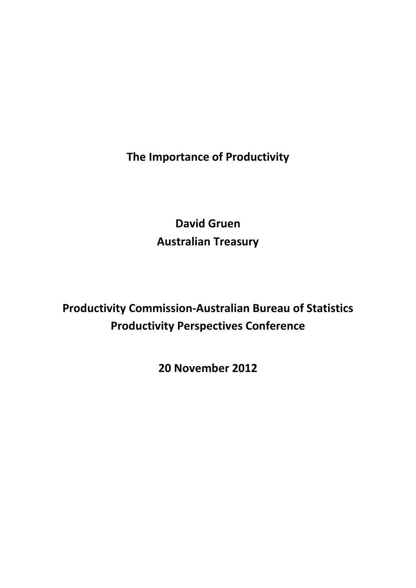**The Importance of Productivity**

**David Gruen Australian Treasury**

**Productivity Commission-Australian Bureau of Statistics Productivity Perspectives Conference**

**20 November 2012**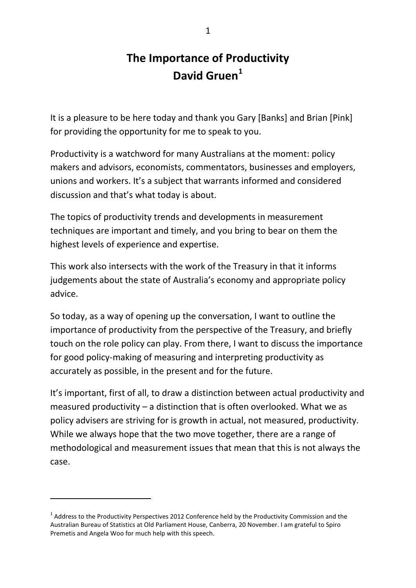# **The Importance of Productivity David Gruen[1](#page-1-0)**

It is a pleasure to be here today and thank you Gary [Banks] and Brian [Pink] for providing the opportunity for me to speak to you.

Productivity is a watchword for many Australians at the moment: policy makers and advisors, economists, commentators, businesses and employers, unions and workers. It's a subject that warrants informed and considered discussion and that's what today is about.

The topics of productivity trends and developments in measurement techniques are important and timely, and you bring to bear on them the highest levels of experience and expertise.

This work also intersects with the work of the Treasury in that it informs judgements about the state of Australia's economy and appropriate policy advice.

So today, as a way of opening up the conversation, I want to outline the importance of productivity from the perspective of the Treasury, and briefly touch on the role policy can play. From there, I want to discuss the importance for good policy-making of measuring and interpreting productivity as accurately as possible, in the present and for the future.

It's important, first of all, to draw a distinction between actual productivity and measured productivity – a distinction that is often overlooked. What we as policy advisers are striving for is growth in actual, not measured, productivity. While we always hope that the two move together, there are a range of methodological and measurement issues that mean that this is not always the case.

1

<span id="page-1-0"></span> $1$  Address to the Productivity Perspectives 2012 Conference held by the Productivity Commission and the Australian Bureau of Statistics at Old Parliament House, Canberra, 20 November. I am grateful to Spiro Premetis and Angela Woo for much help with this speech.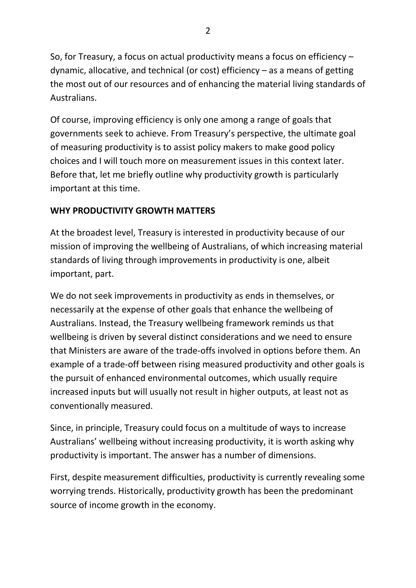So, for Treasury, a focus on actual productivity means a focus on efficiency – dynamic, allocative, and technical (or cost) efficiency – as a means of getting the most out of our resources and of enhancing the material living standards of Australians.

Of course, improving efficiency is only one among a range of goals that governments seek to achieve. From Treasury's perspective, the ultimate goal of measuring productivity is to assist policy makers to make good policy choices and I will touch more on measurement issues in this context later. Before that, let me briefly outline why productivity growth is particularly important at this time.

## **WHY PRODUCTIVITY GROWTH MATTERS**

At the broadest level, Treasury is interested in productivity because of our mission of improving the wellbeing of Australians, of which increasing material standards of living through improvements in productivity is one, albeit important, part.

We do not seek improvements in productivity as ends in themselves, or necessarily at the expense of other goals that enhance the wellbeing of Australians. Instead, the Treasury wellbeing framework reminds us that wellbeing is driven by several distinct considerations and we need to ensure that Ministers are aware of the trade-offs involved in options before them. An example of a trade-off between rising measured productivity and other goals is the pursuit of enhanced environmental outcomes, which usually require increased inputs but will usually not result in higher outputs, at least not as conventionally measured.

Since, in principle, Treasury could focus on a multitude of ways to increase Australians' wellbeing without increasing productivity, it is worth asking why productivity is important. The answer has a number of dimensions.

First, despite measurement difficulties, productivity is currently revealing some worrying trends. Historically, productivity growth has been the predominant source of income growth in the economy.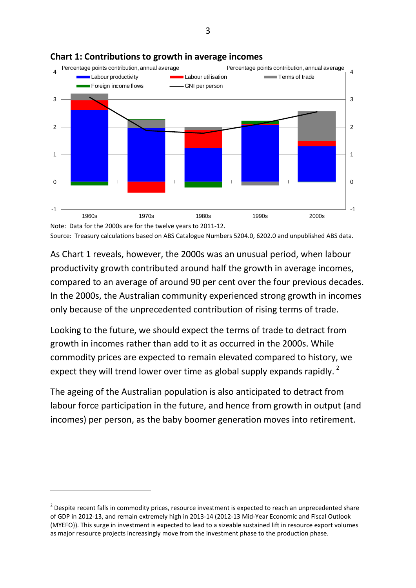

#### **Chart 1: Contributions to growth in average incomes**

Note: Data for the 2000s are for the twelve years to 2011-12. Source: Treasury calculations based on ABS Catalogue Numbers 5204.0, 6202.0 and unpublished ABS data.

As Chart 1 reveals, however, the 2000s was an unusual period, when labour productivity growth contributed around half the growth in average incomes, compared to an average of around 90 per cent over the four previous decades. In the 2000s, the Australian community experienced strong growth in incomes only because of the unprecedented contribution of rising terms of trade.

Looking to the future, we should expect the terms of trade to detract from growth in incomes rather than add to it as occurred in the 2000s. While commodity prices are expected to remain elevated compared to history, we expect they will trend lower over time as global supply expands rapidly.  $^2$  $^2$ 

The ageing of the Australian population is also anticipated to detract from labour force participation in the future, and hence from growth in output (and incomes) per person, as the baby boomer generation moves into retirement.

-

<span id="page-3-0"></span><sup>&</sup>lt;sup>2</sup> Despite recent falls in commodity prices, resource investment is expected to reach an unprecedented share of GDP in 2012-13, and remain extremely high in 2013-14 (2012-13 Mid-Year Economic and Fiscal Outlook (MYEFO)). This surge in investment is expected to lead to a sizeable sustained lift in resource export volumes as major resource projects increasingly move from the investment phase to the production phase.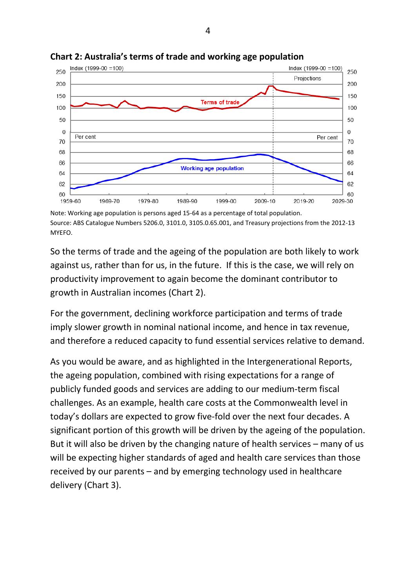

**Chart 2: Australia's terms of trade and working age population**

Note: Working age population is persons aged 15-64 as a percentage of total population. Source: ABS Catalogue Numbers 5206.0, 3101.0, 3105.0.65.001, and Treasury projections from the 2012-13 MYEFO.

So the terms of trade and the ageing of the population are both likely to work against us, rather than for us, in the future. If this is the case, we will rely on productivity improvement to again become the dominant contributor to growth in Australian incomes (Chart 2).

For the government, declining workforce participation and terms of trade imply slower growth in nominal national income, and hence in tax revenue, and therefore a reduced capacity to fund essential services relative to demand.

As you would be aware, and as highlighted in the Intergenerational Reports, the ageing population, combined with rising expectations for a range of publicly funded goods and services are adding to our medium-term fiscal challenges. As an example, health care costs at the Commonwealth level in today's dollars are expected to grow five-fold over the next four decades. A significant portion of this growth will be driven by the ageing of the population. But it will also be driven by the changing nature of health services – many of us will be expecting higher standards of aged and health care services than those received by our parents – and by emerging technology used in healthcare delivery (Chart 3).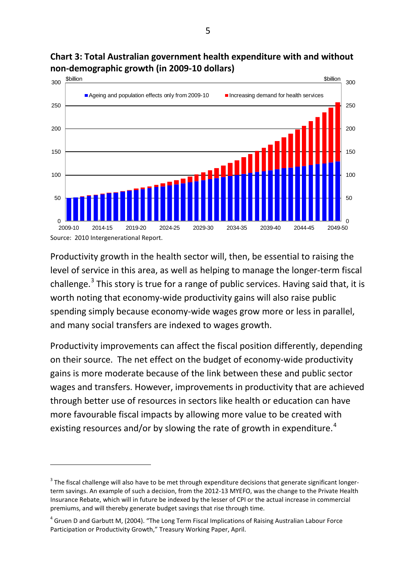

## **Chart 3: Total Australian government health expenditure with and without non-demographic growth (in 2009-10 dollars)**

Productivity growth in the health sector will, then, be essential to raising the level of service in this area, as well as helping to manage the longer-term fiscal challenge.<sup>[3](#page-5-0)</sup> This story is true for a range of public services. Having said that, it is worth noting that economy-wide productivity gains will also raise public spending simply because economy-wide wages grow more or less in parallel, and many social transfers are indexed to wages growth.

Productivity improvements can affect the fiscal position differently, depending on their source. The net effect on the budget of economy-wide productivity gains is more moderate because of the link between these and public sector wages and transfers. However, improvements in productivity that are achieved through better use of resources in sectors like health or education can have more favourable fiscal impacts by allowing more value to be created with existing resources and/or by slowing the rate of growth in expenditure.<sup>[4](#page-5-1)</sup>

1

<span id="page-5-0"></span> $3$  The fiscal challenge will also have to be met through expenditure decisions that generate significant longerterm savings. An example of such a decision, from the 2012-13 MYEFO, was the change to the Private Health Insurance Rebate, which will in future be indexed by the lesser of CPI or the actual increase in commercial premiums, and will thereby generate budget savings that rise through time.

<span id="page-5-1"></span><sup>4</sup> Gruen D and Garbutt M, (2004). "The Long Term Fiscal Implications of Raising Australian Labour Force Participation or Productivity Growth," Treasury Working Paper, April.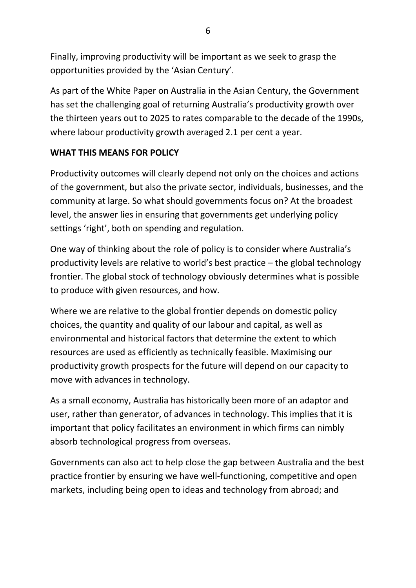Finally, improving productivity will be important as we seek to grasp the opportunities provided by the 'Asian Century'.

As part of the White Paper on Australia in the Asian Century, the Government has set the challenging goal of returning Australia's productivity growth over the thirteen years out to 2025 to rates comparable to the decade of the 1990s, where labour productivity growth averaged 2.1 per cent a year.

# **WHAT THIS MEANS FOR POLICY**

Productivity outcomes will clearly depend not only on the choices and actions of the government, but also the private sector, individuals, businesses, and the community at large. So what should governments focus on? At the broadest level, the answer lies in ensuring that governments get underlying policy settings 'right', both on spending and regulation.

One way of thinking about the role of policy is to consider where Australia's productivity levels are relative to world's best practice – the global technology frontier. The global stock of technology obviously determines what is possible to produce with given resources, and how.

Where we are relative to the global frontier depends on domestic policy choices, the quantity and quality of our labour and capital, as well as environmental and historical factors that determine the extent to which resources are used as efficiently as technically feasible. Maximising our productivity growth prospects for the future will depend on our capacity to move with advances in technology.

As a small economy, Australia has historically been more of an adaptor and user, rather than generator, of advances in technology. This implies that it is important that policy facilitates an environment in which firms can nimbly absorb technological progress from overseas.

Governments can also act to help close the gap between Australia and the best practice frontier by ensuring we have well-functioning, competitive and open markets, including being open to ideas and technology from abroad; and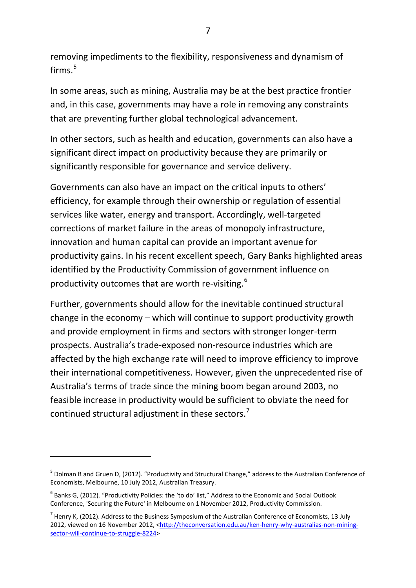removing impediments to the flexibility, responsiveness and dynamism of firms.<sup>[5](#page-7-0)</sup>

In some areas, such as mining, Australia may be at the best practice frontier and, in this case, governments may have a role in removing any constraints that are preventing further global technological advancement.

In other sectors, such as health and education, governments can also have a significant direct impact on productivity because they are primarily or significantly responsible for governance and service delivery.

Governments can also have an impact on the critical inputs to others' efficiency, for example through their ownership or regulation of essential services like water, energy and transport. Accordingly, well-targeted corrections of market failure in the areas of monopoly infrastructure, innovation and human capital can provide an important avenue for productivity gains. In his recent excellent speech, Gary Banks highlighted areas identified by the Productivity Commission of government influence on productivity outcomes that are worth re-visiting.<sup>[6](#page-7-1)</sup>

Further, governments should allow for the inevitable continued structural change in the economy – which will continue to support productivity growth and provide employment in firms and sectors with stronger longer-term prospects. Australia's trade-exposed non-resource industries which are affected by the high exchange rate will need to improve efficiency to improve their international competitiveness. However, given the unprecedented rise of Australia's terms of trade since the mining boom began around 2003, no feasible increase in productivity would be sufficient to obviate the need for continued structural adjustment in these sectors.<sup>[7](#page-7-2)</sup>

-

<span id="page-7-0"></span><sup>&</sup>lt;sup>5</sup> Dolman B and Gruen D, (2012). "Productivity and Structural Change," address to the Australian Conference of Economists, Melbourne, 10 July 2012, Australian Treasury.

<span id="page-7-1"></span> $6$  Banks G, (2012). "Productivity Policies: the 'to do' list," Address to the Economic and Social Outlook Conference, 'Securing the Future' in Melbourne on 1 November 2012, Productivity Commission.

<span id="page-7-2"></span> $^7$  Henry K, (2012). Address to the Business Symposium of the Australian Conference of Economists, 13 July 2012, viewed on 16 November 2012, [<http://theconversation.edu.au/ken-henry-why-australias-non-mining](http://theconversation.edu.au/ken-henry-why-australias-non-mining-sector-will-continue-to-struggle-8224)[sector-will-continue-to-struggle-8224>](http://theconversation.edu.au/ken-henry-why-australias-non-mining-sector-will-continue-to-struggle-8224)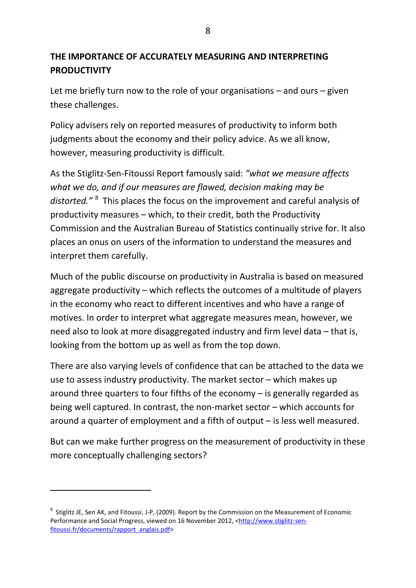# **THE IMPORTANCE OF ACCURATELY MEASURING AND INTERPRETING PRODUCTIVITY**

Let me briefly turn now to the role of your organisations – and ours – given these challenges.

Policy advisers rely on reported measures of productivity to inform both judgments about the economy and their policy advice. As we all know, however, measuring productivity is difficult.

As the Stiglitz-Sen-Fitoussi Report famously said: *"what we measure affects what we do, and if our measures are flawed, decision making may be distorted."* [8](#page-8-0) This places the focus on the improvement and careful analysis of productivity measures – which, to their credit, both the Productivity Commission and the Australian Bureau of Statistics continually strive for. It also places an onus on users of the information to understand the measures and interpret them carefully.

Much of the public discourse on productivity in Australia is based on measured aggregate productivity – which reflects the outcomes of a multitude of players in the economy who react to different incentives and who have a range of motives. In order to interpret what aggregate measures mean, however, we need also to look at more disaggregated industry and firm level data – that is, looking from the bottom up as well as from the top down.

There are also varying levels of confidence that can be attached to the data we use to assess industry productivity. The market sector – which makes up around three quarters to four fifths of the economy – is generally regarded as being well captured. In contrast, the non-market sector – which accounts for around a quarter of employment and a fifth of output – is less well measured.

But can we make further progress on the measurement of productivity in these more conceptually challenging sectors?

1

<span id="page-8-0"></span><sup>&</sup>lt;sup>8</sup> Stiglitz JE, Sen AK, and Fitoussi, J-P, (2009). Report by the Commission on the Measurement of Economic Performance and Social Progress, viewed on 16 November 2012, [<http://www.stiglitz-sen](http://www.stiglitz-sen-fitoussi.fr/documents/rapport_anglais.pdf)[fitoussi.fr/documents/rapport\\_anglais.pdf>](http://www.stiglitz-sen-fitoussi.fr/documents/rapport_anglais.pdf)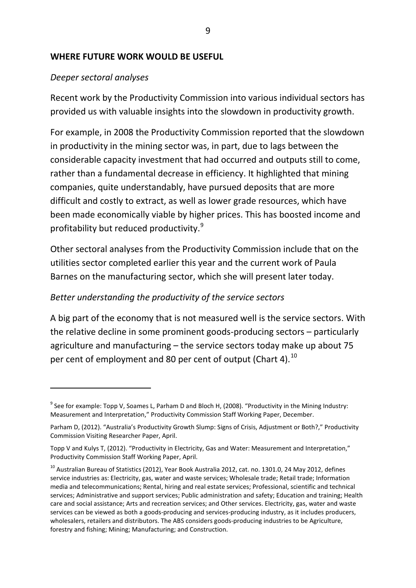#### **WHERE FUTURE WORK WOULD BE USEFUL**

#### *Deeper sectoral analyses*

-

Recent work by the Productivity Commission into various individual sectors has provided us with valuable insights into the slowdown in productivity growth.

For example, in 2008 the Productivity Commission reported that the slowdown in productivity in the mining sector was, in part, due to lags between the considerable capacity investment that had occurred and outputs still to come, rather than a fundamental decrease in efficiency. It highlighted that mining companies, quite understandably, have pursued deposits that are more difficult and costly to extract, as well as lower grade resources, which have been made economically viable by higher prices. This has boosted income and profitability but reduced productivity.[9](#page-9-0)

Other sectoral analyses from the Productivity Commission include that on the utilities sector completed earlier this year and the current work of Paula Barnes on the manufacturing sector, which she will present later today.

#### *Better understanding the productivity of the service sectors*

A big part of the economy that is not measured well is the service sectors. With the relative decline in some prominent goods-producing sectors – particularly agriculture and manufacturing – the service sectors today make up about 75 per cent of employment and 80 per cent of output (Chart 4).  $^{10}$  $^{10}$  $^{10}$ 

<span id="page-9-0"></span><sup>&</sup>lt;sup>9</sup> See for example: Topp V, Soames L, Parham D and Bloch H, (2008). "Productivity in the Mining Industry: Measurement and Interpretation," Productivity Commission Staff Working Paper, December.

Parham D, (2012). "Australia's Productivity Growth Slump: Signs of Crisis, Adjustment or Both?," Productivity Commission Visiting Researcher Paper, April.

Topp V and Kulys T, (2012). "Productivity in Electricity, Gas and Water: Measurement and Interpretation," Productivity Commission Staff Working Paper, April.

<span id="page-9-1"></span><sup>&</sup>lt;sup>10</sup> Australian Bureau of Statistics (2012), Year Book Australia 2012, cat. no. 1301.0, 24 May 2012, defines service industries as: Electricity, gas, water and waste services; Wholesale trade; Retail trade; Information media and telecommunications; Rental, hiring and real estate services; Professional, scientific and technical services; Administrative and support services; Public administration and safety; Education and training; Health care and social assistance; Arts and recreation services; and Other services. Electricity, gas, water and waste services can be viewed as both a goods-producing and services-producing industry, as it includes producers, wholesalers, retailers and distributors. The ABS considers goods-producing industries to be Agriculture, forestry and fishing; Mining; Manufacturing; and Construction.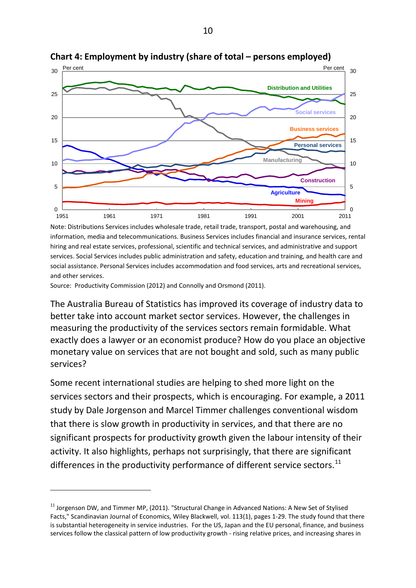

**Chart 4: Employment by industry (share of total – persons employed)**

Note: Distributions Services includes wholesale trade, retail trade, transport, postal and warehousing, and information, media and telecommunications. Business Services includes financial and insurance services, rental hiring and real estate services, professional, scientific and technical services, and administrative and support services. Social Services includes public administration and safety, education and training, and health care and social assistance. Personal Services includes accommodation and food services, arts and recreational services, and other services.

Source: Productivity Commission (2012) and Connolly and Orsmond (2011).

-

The Australia Bureau of Statistics has improved its coverage of industry data to better take into account market sector services. However, the challenges in measuring the productivity of the services sectors remain formidable. What exactly does a lawyer or an economist produce? How do you place an objective monetary value on services that are not bought and sold, such as many public services?

Some recent international studies are helping to shed more light on the services sectors and their prospects, which is encouraging. For example, a 2011 study by Dale Jorgenson and Marcel Timmer challenges conventional wisdom that there is slow growth in productivity in services, and that there are no significant prospects for productivity growth given the labour intensity of their activity. It also highlights, perhaps not surprisingly, that there are significant differences in the productivity performance of different service sectors.<sup>[11](#page-10-0)</sup>

<span id="page-10-0"></span> $11$  Jorgenson DW, and Timmer MP, (2011). "Structural Change in Advanced Nations: A New Set of Stylised Facts," Scandinavian Journal of Economics, Wiley Blackwell, vol. 113(1), pages 1-29. The study found that there is substantial heterogeneity in service industries. For the US, Japan and the EU personal, finance, and business services follow the classical pattern of low productivity growth - rising relative prices, and increasing shares in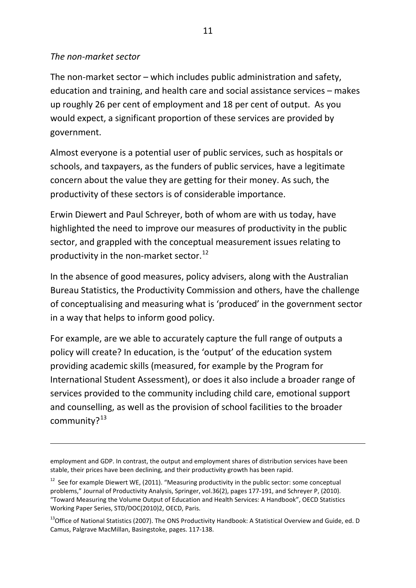#### *The non-market sector*

1

The non-market sector – which includes public administration and safety, education and training, and health care and social assistance services – makes up roughly 26 per cent of employment and 18 per cent of output. As you would expect, a significant proportion of these services are provided by government.

Almost everyone is a potential user of public services, such as hospitals or schools, and taxpayers, as the funders of public services, have a legitimate concern about the value they are getting for their money. As such, the productivity of these sectors is of considerable importance.

Erwin Diewert and Paul Schreyer, both of whom are with us today, have highlighted the need to improve our measures of productivity in the public sector, and grappled with the conceptual measurement issues relating to productivity in the non-market sector.<sup>[12](#page-11-0)</sup>

In the absence of good measures, policy advisers, along with the Australian Bureau Statistics, the Productivity Commission and others, have the challenge of conceptualising and measuring what is 'produced' in the government sector in a way that helps to inform good policy.

For example, are we able to accurately capture the full range of outputs a policy will create? In education, is the 'output' of the education system providing academic skills (measured, for example by the Program for International Student Assessment), or does it also include a broader range of services provided to the community including child care, emotional support and counselling, as well as the provision of school facilities to the broader community?<sup>[13](#page-11-1)</sup>

employment and GDP. In contrast, the output and employment shares of distribution services have been stable, their prices have been declining, and their productivity growth has been rapid.

<span id="page-11-0"></span> $12$  See for example Diewert WE, (2011). "Measuring productivity in the public sector: some conceptual problems," Journal of Productivity Analysis, Springer, vol.36(2), pages 177-191, and Schreyer P, (2010). "Toward Measuring the Volume Output of Education and Health Services: A Handbook", OECD Statistics Working Paper Series, STD/DOC(2010)2, OECD, Paris.

<span id="page-11-1"></span><sup>&</sup>lt;sup>13</sup>Office of National Statistics (2007). The ONS Productivity Handbook: A Statistical Overview and Guide, ed. D Camus, Palgrave MacMillan, Basingstoke, pages. 117-138.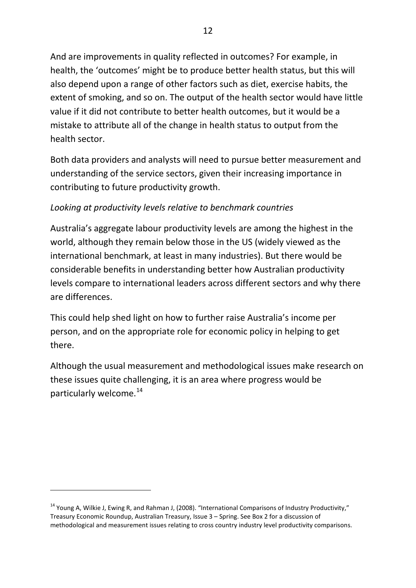And are improvements in quality reflected in outcomes? For example, in health, the 'outcomes' might be to produce better health status, but this will also depend upon a range of other factors such as diet, exercise habits, the extent of smoking, and so on. The output of the health sector would have little value if it did not contribute to better health outcomes, but it would be a mistake to attribute all of the change in health status to output from the health sector.

Both data providers and analysts will need to pursue better measurement and understanding of the service sectors, given their increasing importance in contributing to future productivity growth.

# *Looking at productivity levels relative to benchmark countries*

Australia's aggregate labour productivity levels are among the highest in the world, although they remain below those in the US (widely viewed as the international benchmark, at least in many industries). But there would be considerable benefits in understanding better how Australian productivity levels compare to international leaders across different sectors and why there are differences.

This could help shed light on how to further raise Australia's income per person, and on the appropriate role for economic policy in helping to get there.

Although the usual measurement and methodological issues make research on these issues quite challenging, it is an area where progress would be particularly welcome.<sup>[14](#page-12-0)</sup>

-

<span id="page-12-0"></span><sup>&</sup>lt;sup>14</sup> Young A, Wilkie J, Ewing R, and Rahman J, (2008). "International Comparisons of Industry Productivity," Treasury Economic Roundup, Australian Treasury, Issue 3 – Spring. See Box 2 for a discussion of methodological and measurement issues relating to cross country industry level productivity comparisons.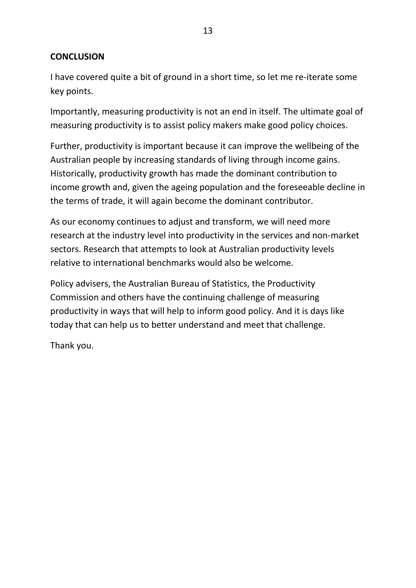### **CONCLUSION**

I have covered quite a bit of ground in a short time, so let me re-iterate some key points.

Importantly, measuring productivity is not an end in itself. The ultimate goal of measuring productivity is to assist policy makers make good policy choices.

Further, productivity is important because it can improve the wellbeing of the Australian people by increasing standards of living through income gains. Historically, productivity growth has made the dominant contribution to income growth and, given the ageing population and the foreseeable decline in the terms of trade, it will again become the dominant contributor.

As our economy continues to adjust and transform, we will need more research at the industry level into productivity in the services and non-market sectors. Research that attempts to look at Australian productivity levels relative to international benchmarks would also be welcome.

Policy advisers, the Australian Bureau of Statistics, the Productivity Commission and others have the continuing challenge of measuring productivity in ways that will help to inform good policy. And it is days like today that can help us to better understand and meet that challenge.

Thank you.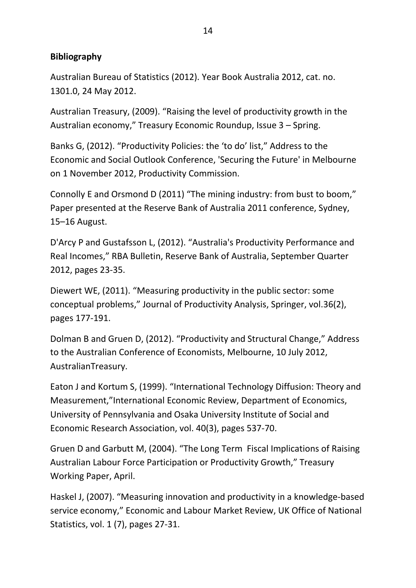## **Bibliography**

Australian Bureau of Statistics (2012). Year Book Australia 2012, cat. no. 1301.0, 24 May 2012.

Australian Treasury, (2009). "Raising the level of productivity growth in the Australian economy," Treasury Economic Roundup, Issue 3 – Spring.

Banks G, (2012). "Productivity Policies: the 'to do' list," Address to the Economic and Social Outlook Conference, 'Securing the Future' in Melbourne on 1 November 2012, Productivity Commission.

Connolly E and Orsmond D (2011) "The mining industry: from bust to boom," Paper presented at the Reserve Bank of Australia 2011 conference, Sydney, 15–16 August.

D'Arcy P and Gustafsson L, (2012). "Australia's Productivity Performance and Real Incomes," RBA Bulletin, Reserve Bank of Australia, September Quarter 2012, pages 23-35.

Diewert WE, (2011). "Measuring productivity in the public sector: some conceptual problems," Journal of Productivity Analysis, Springer, vol.36(2), pages 177-191.

Dolman B and Gruen D, (2012). "Productivity and Structural Change," Address to the Australian Conference of Economists, Melbourne, 10 July 2012, AustralianTreasury.

Eaton J and Kortum S, (1999). "International Technology Diffusion: Theory and Measurement,"International Economic Review, Department of Economics, University of Pennsylvania and Osaka University Institute of Social and Economic Research Association, vol. 40(3), pages 537-70.

Gruen D and Garbutt M, (2004). "The Long Term Fiscal Implications of Raising Australian Labour Force Participation or Productivity Growth," Treasury Working Paper, April.

Haskel J, (2007). "Measuring innovation and productivity in a knowledge-based service economy," Economic and Labour Market Review, UK Office of National Statistics, vol. 1 (7), pages 27-31.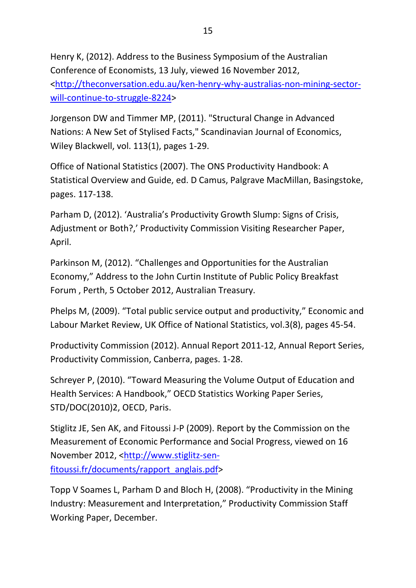Henry K, (2012). Address to the Business Symposium of the Australian Conference of Economists, 13 July, viewed 16 November 2012, [<http://theconversation.edu.au/ken-henry-why-australias-non-mining-sector](http://theconversation.edu.au/ken-henry-why-australias-non-mining-sector-will-continue-to-struggle-8224)[will-continue-to-struggle-8224>](http://theconversation.edu.au/ken-henry-why-australias-non-mining-sector-will-continue-to-struggle-8224)

Jorgenson DW and Timmer MP, (2011). "Structural Change in Advanced Nations: A New Set of Stylised Facts," Scandinavian Journal of Economics, Wiley Blackwell, vol. 113(1), pages 1-29.

Office of National Statistics (2007). The ONS Productivity Handbook: A Statistical Overview and Guide, ed. D Camus, Palgrave MacMillan, Basingstoke, pages. 117-138.

Parham D, (2012). 'Australia's Productivity Growth Slump: Signs of Crisis, Adjustment or Both?,' Productivity Commission Visiting Researcher Paper, April.

Parkinson M, (2012). "Challenges and Opportunities for the Australian Economy," Address to the John Curtin Institute of Public Policy Breakfast Forum , Perth, 5 October 2012, Australian Treasury.

Phelps M, (2009). "Total public service output and productivity," Economic and Labour Market Review, UK Office of National Statistics, vol.3(8), pages 45-54.

Productivity Commission (2012). Annual Report 2011-12, Annual Report Series, Productivity Commission, Canberra, pages. 1-28.

Schreyer P, (2010). "Toward Measuring the Volume Output of Education and Health Services: A Handbook," OECD Statistics Working Paper Series, STD/DOC(2010)2, OECD, Paris.

Stiglitz JE, Sen AK, and Fitoussi J-P (2009). Report by the Commission on the Measurement of Economic Performance and Social Progress, viewed on 16 November 2012, [<http://www.stiglitz-sen](http://www.stiglitz-sen-fitoussi.fr/documents/rapport_anglais.pdf)[fitoussi.fr/documents/rapport\\_anglais.pdf>](http://www.stiglitz-sen-fitoussi.fr/documents/rapport_anglais.pdf)

Topp V Soames L, Parham D and Bloch H, (2008). "Productivity in the Mining Industry: Measurement and Interpretation," Productivity Commission Staff Working Paper, December.